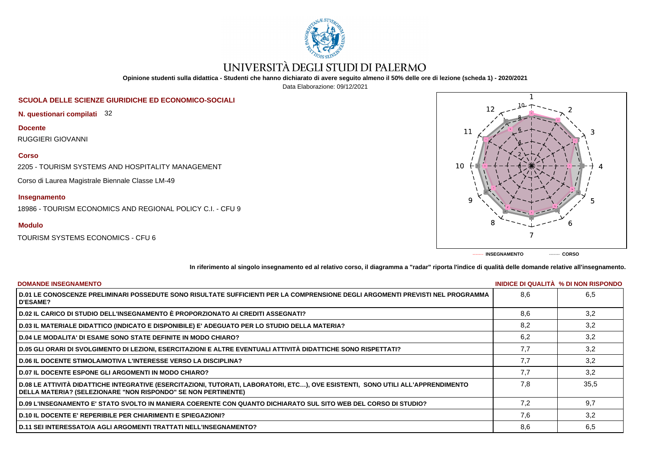

# UNIVERSITÀ DEGLI STUDI DI PALERMO

**Opinione studenti sulla didattica - Studenti che hanno dichiarato di avere seguito almeno il 50% delle ore di lezione (scheda 1) - 2020/2021**

Data Elaborazione: 09/12/2021

## **SCUOLA DELLE SCIENZE GIURIDICHE ED ECONOMICO-SOCIALI**

**N. questionari compilati** 32

**Docente** RUGGIERI GIOVANNI

### **Corso**

2205 - TOURISM SYSTEMS AND HOSPITALITY MANAGEMENT

Corso di Laurea Magistrale Biennale Classe LM-49

# **Insegnamento**

18986 - TOURISM ECONOMICS AND REGIONAL POLICY C.I. - CFU 9

# **Modulo**

TOURISM SYSTEMS ECONOMICS - CFU 6



**In riferimento al singolo insegnamento ed al relativo corso, il diagramma a "radar" riporta l'indice di qualità delle domande relative all'insegnamento.**

| <b>DOMANDE INSEGNAMENTO</b>                                                                                                                                                                             |     | INIDICE DI QUALITA % DI NON RISPONDO |
|---------------------------------------------------------------------------------------------------------------------------------------------------------------------------------------------------------|-----|--------------------------------------|
| D.01 LE CONOSCENZE PRELIMINARI POSSEDUTE SONO RISULTATE SUFFICIENTI PER LA COMPRENSIONE DEGLI ARGOMENTI PREVISTI NEL PROGRAMMA<br><b>D'ESAME?</b>                                                       | 8.6 | 6,5                                  |
| D.02 IL CARICO DI STUDIO DELL'INSEGNAMENTO È PROPORZIONATO AI CREDITI ASSEGNATI?                                                                                                                        | 8.6 | 3,2                                  |
| D.03 IL MATERIALE DIDATTICO (INDICATO E DISPONIBILE) E' ADEGUATO PER LO STUDIO DELLA MATERIA?                                                                                                           | 8,2 | 3,2                                  |
| <b>D.04 LE MODALITA' DI ESAME SONO STATE DEFINITE IN MODO CHIARO?</b>                                                                                                                                   | 6,2 | 3,2                                  |
| D.05 GLI ORARI DI SVOLGIMENTO DI LEZIONI, ESERCITAZIONI E ALTRE EVENTUALI ATTIVITÀ DIDATTICHE SONO RISPETTATI?                                                                                          | 7,7 | 3,2                                  |
| <b>D.06 IL DOCENTE STIMOLA/MOTIVA L'INTERESSE VERSO LA DISCIPLINA?</b>                                                                                                                                  | 7.7 | 3.2                                  |
| <b>D.07 IL DOCENTE ESPONE GLI ARGOMENTI IN MODO CHIARO?</b>                                                                                                                                             | 7,7 | 3,2                                  |
| D.08 LE ATTIVITÀ DIDATTICHE INTEGRATIVE (ESERCITAZIONI, TUTORATI, LABORATORI, ETC), OVE ESISTENTI, SONO UTILI ALL'APPRENDIMENTO<br><b>DELLA MATERIA? (SELEZIONARE "NON RISPONDO" SE NON PERTINENTE)</b> | 7.8 | 35.5                                 |
| D.09 L'INSEGNAMENTO E' STATO SVOLTO IN MANIERA COERENTE CON QUANTO DICHIARATO SUL SITO WEB DEL CORSO DI STUDIO?                                                                                         | 7.2 | 9,7                                  |
| <b>D.10 IL DOCENTE E' REPERIBILE PER CHIARIMENTI E SPIEGAZIONI?</b>                                                                                                                                     | 7.6 | 3.2                                  |
| <b>D.11 SEI INTERESSATO/A AGLI ARGOMENTI TRATTATI NELL'INSEGNAMENTO?</b>                                                                                                                                | 8,6 | 6,5                                  |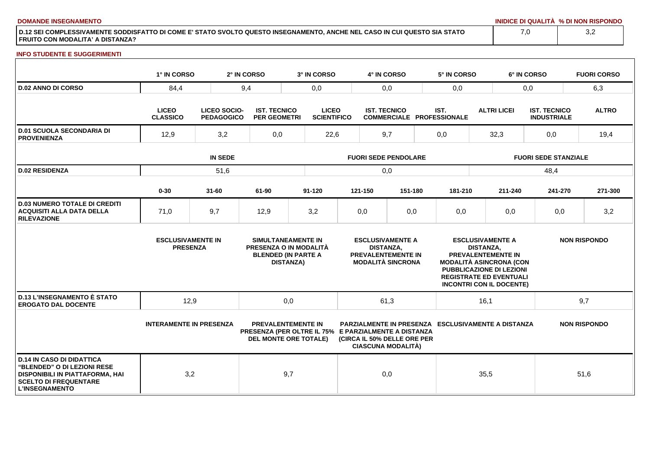**DOMANDE INSEGNAMENTO INIDICE DI QUALITÀ % DI NON RISPONDO**

**D.12 SEI COMPLESSIVAMENTE SODDISFATTO DI COME E' STATO SVOLTO QUESTO INSEGNAMENTO, ANCHE NEL CASO IN CUI QUESTO SIA STATO FRUITO CON MODALITA' A DISTANZA?**

### **INFO STUDENTE E SUGGERIMENTI**

|                                                                                                                                                                    | 1° IN CORSO                                 |                                          | 2° IN CORSO | 3° IN CORSO                                                                                                       |                             | 4° IN CORSO      |                                                                                  | 5° IN CORSO                              |                  |                                                                                                                                                                                  | 6° IN CORSO                               | <b>FUORI CORSO</b>  |  |
|--------------------------------------------------------------------------------------------------------------------------------------------------------------------|---------------------------------------------|------------------------------------------|-------------|-------------------------------------------------------------------------------------------------------------------|-----------------------------|------------------|----------------------------------------------------------------------------------|------------------------------------------|------------------|----------------------------------------------------------------------------------------------------------------------------------------------------------------------------------|-------------------------------------------|---------------------|--|
| <b>D.02 ANNO DI CORSO</b>                                                                                                                                          | 84,4                                        |                                          | 9,4         | 0,0                                                                                                               |                             | 0,0              |                                                                                  | 0,0                                      |                  |                                                                                                                                                                                  | 0,0                                       | 6,3                 |  |
|                                                                                                                                                                    | <b>LICEO</b><br><b>CLASSICO</b>             | <b>LICEO SOCIO-</b><br><b>PEDAGOGICO</b> |             | <b>LICEO</b><br><b>IST. TECNICO</b><br><b>SCIENTIFICO</b><br><b>PER GEOMETRI</b>                                  |                             |                  | <b>IST. TECNICO</b>                                                              | IST.<br><b>COMMERCIALE PROFESSIONALE</b> |                  | <b>ALTRI LICEI</b>                                                                                                                                                               | <b>IST. TECNICO</b><br><b>INDUSTRIALE</b> | <b>ALTRO</b>        |  |
| <b>D.01 SCUOLA SECONDARIA DI</b><br><b>PROVENIENZA</b>                                                                                                             | 3,2<br>12,9                                 |                                          | 0,0         | 22,6                                                                                                              | 9,7                         |                  |                                                                                  | 0,0                                      |                  | 32,3                                                                                                                                                                             | 0,0                                       | 19,4                |  |
|                                                                                                                                                                    |                                             | <b>IN SEDE</b>                           |             |                                                                                                                   | <b>FUORI SEDE PENDOLARE</b> |                  |                                                                                  |                                          |                  | <b>FUORI SEDE STANZIALE</b>                                                                                                                                                      |                                           |                     |  |
| <b>D.02 RESIDENZA</b>                                                                                                                                              |                                             | 51,6                                     |             |                                                                                                                   |                             | 0,0              |                                                                                  |                                          |                  |                                                                                                                                                                                  | 48,4                                      |                     |  |
|                                                                                                                                                                    | $0 - 30$                                    | $31 - 60$                                | 61-90       | $91 - 120$                                                                                                        |                             | 121-150          | 151-180                                                                          |                                          | 181-210          | 211-240                                                                                                                                                                          | 241-270                                   | 271-300             |  |
| <b>D.03 NUMERO TOTALE DI CREDITI</b><br><b>ACQUISITI ALLA DATA DELLA</b><br><b>RILEVAZIONE</b>                                                                     | 71,0                                        | 9,7                                      | 12,9        | 3,2                                                                                                               |                             | 0,0              | 0,0                                                                              |                                          | 0,0              | 0,0                                                                                                                                                                              | 0,0                                       | 3,2                 |  |
|                                                                                                                                                                    | <b>ESCLUSIVAMENTE IN</b><br><b>PRESENZA</b> |                                          |             | SIMULTANEAMENTE IN<br>PRESENZA O IN MODALITÀ<br><b>BLENDED (IN PARTE A</b><br><b>DISTANZA)</b>                    |                             | <b>DISTANZA,</b> | <b>ESCLUSIVAMENTE A</b><br><b>PREVALENTEMENTE IN</b><br><b>MODALITÀ SINCRONA</b> |                                          | <b>DISTANZA.</b> | <b>ESCLUSIVAMENTE A</b><br>PREVALENTEMENTE IN<br><b>MODALITÀ ASINCRONA (CON</b><br>PUBBLICAZIONE DI LEZIONI<br><b>REGISTRATE ED EVENTUALI</b><br><b>INCONTRI CON IL DOCENTE)</b> |                                           | <b>NON RISPONDO</b> |  |
| <b>D.13 L'INSEGNAMENTO È STATO</b><br><b>EROGATO DAL DOCENTE</b>                                                                                                   | 12,9                                        |                                          |             | 0,0                                                                                                               |                             | 61,3             |                                                                                  |                                          |                  | 16,1                                                                                                                                                                             |                                           | 9,7                 |  |
|                                                                                                                                                                    | <b>INTERAMENTE IN PRESENZA</b>              |                                          |             | <b>PREVALENTEMENTE IN</b><br>PRESENZA (PER OLTRE IL 75% E PARZIALMENTE A DISTANZA<br><b>DEL MONTE ORE TOTALE)</b> |                             |                  | (CIRCA IL 50% DELLE ORE PER<br><b>CIASCUNA MODALITÀ)</b>                         |                                          |                  | <b>PARZIALMENTE IN PRESENZA ESCLUSIVAMENTE A DISTANZA</b>                                                                                                                        |                                           | <b>NON RISPONDO</b> |  |
| <b>D.14 IN CASO DI DIDATTICA</b><br><b>"BLENDED" O DI LEZIONI RESE</b><br>DISPONIBILI IN PIATTAFORMA, HAI<br><b>SCELTO DI FREQUENTARE</b><br><b>L'INSEGNAMENTO</b> | 3,2                                         |                                          |             | 9,7                                                                                                               |                             | 0,0              |                                                                                  |                                          |                  | 35,5                                                                                                                                                                             |                                           | 51,6                |  |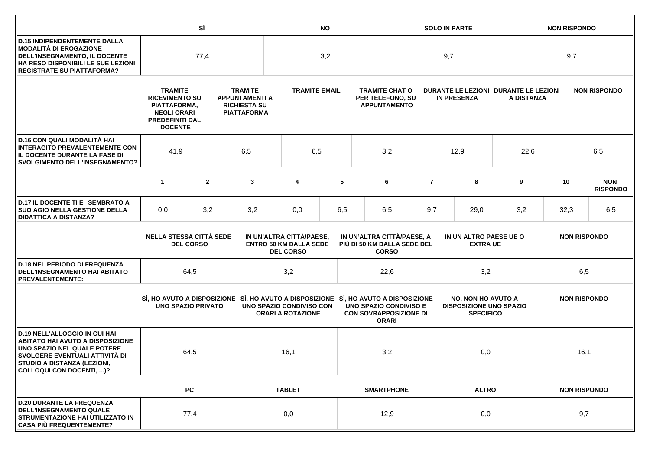|                                                                                                                                                                                                             |                                                                                                                           | SÌ<br><b>NO</b> |                                                                                      |                                                                                                                                            |                                                      | <b>SOLO IN PARTE</b> |                                                                  |                                               |                |                                                                                 | <b>NON RISPONDO</b> |                     |                     |      |                               |  |
|-------------------------------------------------------------------------------------------------------------------------------------------------------------------------------------------------------------|---------------------------------------------------------------------------------------------------------------------------|-----------------|--------------------------------------------------------------------------------------|--------------------------------------------------------------------------------------------------------------------------------------------|------------------------------------------------------|----------------------|------------------------------------------------------------------|-----------------------------------------------|----------------|---------------------------------------------------------------------------------|---------------------|---------------------|---------------------|------|-------------------------------|--|
| <b>D.15 INDIPENDENTEMENTE DALLA</b><br><b>MODALITÀ DI EROGAZIONE</b><br>DELL'INSEGNAMENTO, IL DOCENTE<br>HA RESO DISPONIBILI LE SUE LEZIONI<br><b>REGISTRATE SU PIATTAFORMA?</b>                            | 77,4                                                                                                                      |                 | 3,2                                                                                  |                                                                                                                                            |                                                      |                      | 9,7                                                              |                                               |                |                                                                                 | 9,7                 |                     |                     |      |                               |  |
|                                                                                                                                                                                                             | <b>TRAMITE</b><br><b>RICEVIMENTO SU</b><br>PIATTAFORMA,<br><b>NEGLI ORARI</b><br><b>PREDEFINITI DAL</b><br><b>DOCENTE</b> |                 | <b>TRAMITE</b><br><b>APPUNTAMENTI A</b><br><b>RICHIESTA SU</b><br><b>PIATTAFORMA</b> |                                                                                                                                            | <b>TRAMITE EMAIL</b>                                 |                      | <b>TRAMITE CHAT O</b><br>PER TELEFONO, SU<br><b>APPUNTAMENTO</b> |                                               |                | DURANTE LE LEZIONI DURANTE LE LEZIONI<br><b>IN PRESENZA</b>                     |                     | A DISTANZA          |                     |      | <b>NON RISPONDO</b>           |  |
| D.16 CON QUALI MODALITÀ HAI<br><b>INTERAGITO PREVALENTEMENTE CON</b><br>IL DOCENTE DURANTE LA FASE DI<br><b>SVOLGIMENTO DELL'INSEGNAMENTO?</b>                                                              | 41,9<br>6,5                                                                                                               |                 |                                                                                      | 6,5                                                                                                                                        |                                                      | 3,2                  |                                                                  |                                               | 12,9           |                                                                                 | 22,6                | 6,5                 |                     |      |                               |  |
|                                                                                                                                                                                                             | $\mathbf{1}$                                                                                                              | $\overline{2}$  |                                                                                      | 3                                                                                                                                          | 4                                                    | 5                    |                                                                  | 6                                             | $\overline{7}$ |                                                                                 | 8                   | 9                   |                     | 10   | <b>NON</b><br><b>RISPONDO</b> |  |
| D.17 IL DOCENTE TI E SEMBRATO A<br><b>SUO AGIO NELLA GESTIONE DELLA</b><br><b>DIDATTICA A DISTANZA?</b>                                                                                                     | 0,0                                                                                                                       | 3,2             |                                                                                      | 3,2                                                                                                                                        | 0,0                                                  | 6,5                  |                                                                  | 6,5                                           | 9,7            |                                                                                 | 29,0                | 3,2                 |                     | 32,3 | 6,5                           |  |
|                                                                                                                                                                                                             | <b>NELLA STESSA CITTÀ SEDE</b><br><b>DEL CORSO</b>                                                                        |                 |                                                                                      | IN UN'ALTRA CITTÀ/PAESE,<br>IN UN'ALTRA CITTÀ/PAESE, A<br><b>ENTRO 50 KM DALLA SEDE</b><br>PIÙ DI 50 KM DALLA SEDE DEL<br><b>DEL CORSO</b> |                                                      |                      | <b>CORSO</b>                                                     | IN UN ALTRO PAESE UE O<br><b>EXTRA UE</b>     |                |                                                                                 |                     | <b>NON RISPONDO</b> |                     |      |                               |  |
| <b>D.18 NEL PERIODO DI FREQUENZA</b><br><b>DELL'INSEGNAMENTO HAI ABITATO</b><br><b>PREVALENTEMENTE:</b>                                                                                                     | 64,5                                                                                                                      |                 | 3,2                                                                                  |                                                                                                                                            |                                                      | 22,6                 |                                                                  |                                               | 3,2            |                                                                                 |                     | 6,5                 |                     |      |                               |  |
|                                                                                                                                                                                                             | <b>UNO SPAZIO PRIVATO</b>                                                                                                 |                 |                                                                                      | SI, HO AVUTO A DISPOSIZIONE SI, HO AVUTO A DISPOSIZIONE SI, HO AVUTO A DISPOSIZIONE                                                        | UNO SPAZIO CONDIVISO CON<br><b>ORARI A ROTAZIONE</b> |                      | <b>CON SOVRAPPOSIZIONE DI</b>                                    | <b>UNO SPAZIO CONDIVISO E</b><br><b>ORARI</b> |                | <b>NO, NON HO AVUTO A</b><br><b>DISPOSIZIONE UNO SPAZIO</b><br><b>SPECIFICO</b> |                     | <b>NON RISPONDO</b> |                     |      |                               |  |
| <b>D.19 NELL'ALLOGGIO IN CUI HAI</b><br><b>ABITATO HAI AVUTO A DISPOSIZIONE</b><br>UNO SPAZIO NEL QUALE POTERE<br>SVOLGERE EVENTUALI ATTIVITÀ DI<br>STUDIO A DISTANZA (LEZIONI,<br>COLLOQUI CON DOCENTI, )? | 64,5                                                                                                                      |                 |                                                                                      | 16,1                                                                                                                                       |                                                      | 3,2                  |                                                                  |                                               | 0,0            |                                                                                 |                     | 16,1                |                     |      |                               |  |
|                                                                                                                                                                                                             |                                                                                                                           | <b>PC</b>       |                                                                                      |                                                                                                                                            | <b>TABLET</b>                                        |                      |                                                                  | <b>SMARTPHONE</b>                             |                | <b>ALTRO</b>                                                                    |                     |                     | <b>NON RISPONDO</b> |      |                               |  |
| <b>D.20 DURANTE LA FREQUENZA</b><br><b>DELL'INSEGNAMENTO QUALE</b><br>STRUMENTAZIONE HAI UTILIZZATO IN<br><b>CASA PIÙ FREQUENTEMENTE?</b>                                                                   |                                                                                                                           | 77,4            |                                                                                      |                                                                                                                                            | 0,0                                                  |                      |                                                                  | 12,9                                          |                |                                                                                 |                     | 0,0                 |                     | 9,7  |                               |  |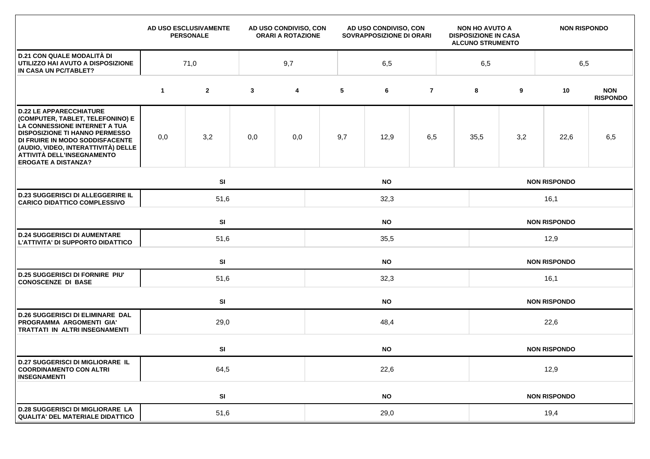|                                                                                                                                                                                                                                                                                    |             | AD USO ESCLUSIVAMENTE<br><b>PERSONALE</b> | AD USO CONDIVISO, CON<br><b>ORARI A ROTAZIONE</b> |                         | AD USO CONDIVISO, CON<br>SOVRAPPOSIZIONE DI ORARI |           |                |  | <b>NON HO AVUTO A</b><br><b>DISPOSIZIONE IN CASA</b><br><b>ALCUNO STRUMENTO</b> |                     | <b>NON RISPONDO</b> |                               |  |  |  |
|------------------------------------------------------------------------------------------------------------------------------------------------------------------------------------------------------------------------------------------------------------------------------------|-------------|-------------------------------------------|---------------------------------------------------|-------------------------|---------------------------------------------------|-----------|----------------|--|---------------------------------------------------------------------------------|---------------------|---------------------|-------------------------------|--|--|--|
| <b>D.21 CON QUALE MODALITÀ DI</b><br>UTILIZZO HAI AVUTO A DISPOSIZIONE<br>IN CASA UN PC/TABLET?                                                                                                                                                                                    |             | 71,0                                      |                                                   | 9,7                     |                                                   | 6,5       |                |  | 6,5                                                                             |                     | 6,5                 |                               |  |  |  |
|                                                                                                                                                                                                                                                                                    | $\mathbf 1$ | $\mathbf{2}$                              | $\mathbf{3}$                                      | $\overline{\mathbf{4}}$ | 5                                                 | 6         | $\overline{7}$ |  | 8                                                                               | 9                   | 10                  | <b>NON</b><br><b>RISPONDO</b> |  |  |  |
| <b>D.22 LE APPARECCHIATURE</b><br>(COMPUTER, TABLET, TELEFONINO) E<br>LA CONNESSIONE INTERNET A TUA<br><b>DISPOSIZIONE TI HANNO PERMESSO</b><br>DI FRUIRE IN MODO SODDISFACENTE<br>(AUDIO, VIDEO, INTERATTIVITÀ) DELLE<br>ATTIVITÀ DELL'INSEGNAMENTO<br><b>EROGATE A DISTANZA?</b> | 0,0         | 3,2                                       | 0,0                                               | 0,0                     | 9,7                                               | 12,9      | 6,5            |  | 35,5                                                                            | 3,2                 | 22,6                | 6,5                           |  |  |  |
|                                                                                                                                                                                                                                                                                    |             | SI<br><b>NO</b>                           |                                                   |                         |                                                   |           |                |  |                                                                                 | <b>NON RISPONDO</b> |                     |                               |  |  |  |
| <b>D.23 SUGGERISCI DI ALLEGGERIRE IL</b><br><b>CARICO DIDATTICO COMPLESSIVO</b>                                                                                                                                                                                                    |             | 51,6                                      |                                                   |                         | 32,3                                              |           |                |  |                                                                                 | 16,1                |                     |                               |  |  |  |
|                                                                                                                                                                                                                                                                                    |             | SI<br><b>NO</b>                           |                                                   |                         |                                                   |           |                |  | <b>NON RISPONDO</b>                                                             |                     |                     |                               |  |  |  |
| <b>D.24 SUGGERISCI DI AUMENTARE</b><br>L'ATTIVITA' DI SUPPORTO DIDATTICO                                                                                                                                                                                                           |             | 51,6                                      |                                                   |                         | 35,5                                              |           |                |  |                                                                                 | 12,9                |                     |                               |  |  |  |
|                                                                                                                                                                                                                                                                                    |             | SI                                        | <b>NO</b>                                         |                         |                                                   |           |                |  | <b>NON RISPONDO</b>                                                             |                     |                     |                               |  |  |  |
| <b>D.25 SUGGERISCI DI FORNIRE PIU'</b><br><b>CONOSCENZE DI BASE</b>                                                                                                                                                                                                                | 51,6        |                                           |                                                   |                         | 32,3                                              |           |                |  |                                                                                 | 16,1                |                     |                               |  |  |  |
|                                                                                                                                                                                                                                                                                    |             | SI<br><b>NO</b>                           |                                                   |                         |                                                   |           |                |  |                                                                                 |                     | <b>NON RISPONDO</b> |                               |  |  |  |
| <b>D.26 SUGGERISCI DI ELIMINARE DAL</b><br>PROGRAMMA ARGOMENTI GIA'<br><b>TRATTATI IN ALTRI INSEGNAMENTI</b>                                                                                                                                                                       |             | 29,0                                      |                                                   |                         | 48,4                                              |           |                |  |                                                                                 | 22,6                |                     |                               |  |  |  |
|                                                                                                                                                                                                                                                                                    |             | SI                                        |                                                   |                         |                                                   | <b>NO</b> |                |  |                                                                                 |                     | <b>NON RISPONDO</b> |                               |  |  |  |
| <b>D.27 SUGGERISCI DI MIGLIORARE IL</b><br><b>COORDINAMENTO CON ALTRI</b><br><b>INSEGNAMENTI</b>                                                                                                                                                                                   | 64,5        |                                           |                                                   |                         | 22,6                                              |           |                |  |                                                                                 | 12,9                |                     |                               |  |  |  |
|                                                                                                                                                                                                                                                                                    |             | SI                                        |                                                   |                         | <b>NO</b>                                         |           |                |  |                                                                                 | <b>NON RISPONDO</b> |                     |                               |  |  |  |
| <b>D.28 SUGGERISCI DI MIGLIORARE LA</b><br>QUALITA' DEL MATERIALE DIDATTICO                                                                                                                                                                                                        | 51,6        |                                           |                                                   |                         | 29,0                                              |           |                |  |                                                                                 | 19,4                |                     |                               |  |  |  |